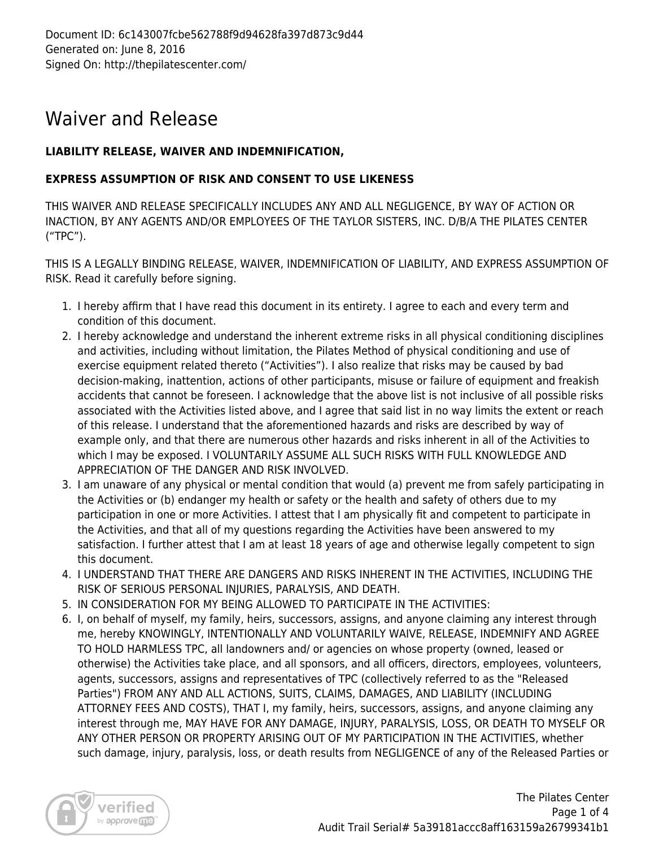## Waiver and Release

## **LIABILITY RELEASE, WAIVER AND INDEMNIFICATION,**

## **EXPRESS ASSUMPTION OF RISK AND CONSENT TO USE LIKENESS**

THIS WAIVER AND RELEASE SPECIFICALLY INCLUDES ANY AND ALL NEGLIGENCE, BY WAY OF ACTION OR INACTION, BY ANY AGENTS AND/OR EMPLOYEES OF THE TAYLOR SISTERS, INC. D/B/A THE PILATES CENTER ("TPC").

THIS IS A LEGALLY BINDING RELEASE, WAIVER, INDEMNIFICATION OF LIABILITY, AND EXPRESS ASSUMPTION OF RISK. Read it carefully before signing.

- 1. I hereby affirm that I have read this document in its entirety. I agree to each and every term and condition of this document.
- 2. I hereby acknowledge and understand the inherent extreme risks in all physical conditioning disciplines and activities, including without limitation, the Pilates Method of physical conditioning and use of exercise equipment related thereto ("Activities"). I also realize that risks may be caused by bad decision-making, inattention, actions of other participants, misuse or failure of equipment and freakish accidents that cannot be foreseen. I acknowledge that the above list is not inclusive of all possible risks associated with the Activities listed above, and I agree that said list in no way limits the extent or reach of this release. I understand that the aforementioned hazards and risks are described by way of example only, and that there are numerous other hazards and risks inherent in all of the Activities to which I may be exposed. I VOLUNTARILY ASSUME ALL SUCH RISKS WITH FULL KNOWLEDGE AND APPRECIATION OF THE DANGER AND RISK INVOLVED.
- 3. I am unaware of any physical or mental condition that would (a) prevent me from safely participating in the Activities or (b) endanger my health or safety or the health and safety of others due to my participation in one or more Activities. I attest that I am physically fit and competent to participate in the Activities, and that all of my questions regarding the Activities have been answered to my satisfaction. I further attest that I am at least 18 years of age and otherwise legally competent to sign this document.
- 4. I UNDERSTAND THAT THERE ARE DANGERS AND RISKS INHERENT IN THE ACTIVITIES, INCLUDING THE RISK OF SERIOUS PERSONAL INJURIES, PARALYSIS, AND DEATH.
- 5. IN CONSIDERATION FOR MY BEING ALLOWED TO PARTICIPATE IN THE ACTIVITIES:
- 6. I, on behalf of myself, my family, heirs, successors, assigns, and anyone claiming any interest through me, hereby KNOWINGLY, INTENTIONALLY AND VOLUNTARILY WAIVE, RELEASE, INDEMNIFY AND AGREE TO HOLD HARMLESS TPC, all landowners and/ or agencies on whose property (owned, leased or otherwise) the Activities take place, and all sponsors, and all officers, directors, employees, volunteers, agents, successors, assigns and representatives of TPC (collectively referred to as the "Released Parties") FROM ANY AND ALL ACTIONS, SUITS, CLAIMS, DAMAGES, AND LIABILITY (INCLUDING ATTORNEY FEES AND COSTS), THAT I, my family, heirs, successors, assigns, and anyone claiming any interest through me, MAY HAVE FOR ANY DAMAGE, INJURY, PARALYSIS, LOSS, OR DEATH TO MYSELF OR ANY OTHER PERSON OR PROPERTY ARISING OUT OF MY PARTICIPATION IN THE ACTIVITIES, whether such damage, injury, paralysis, loss, or death results from NEGLIGENCE of any of the Released Parties or

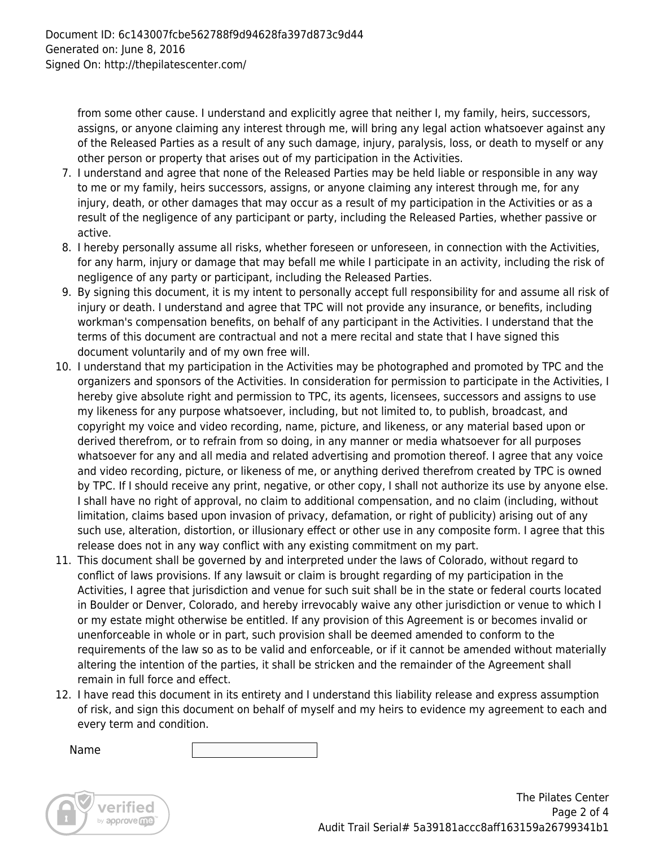from some other cause. I understand and explicitly agree that neither I, my family, heirs, successors, assigns, or anyone claiming any interest through me, will bring any legal action whatsoever against any of the Released Parties as a result of any such damage, injury, paralysis, loss, or death to myself or any other person or property that arises out of my participation in the Activities.

- 7. I understand and agree that none of the Released Parties may be held liable or responsible in any way to me or my family, heirs successors, assigns, or anyone claiming any interest through me, for any injury, death, or other damages that may occur as a result of my participation in the Activities or as a result of the negligence of any participant or party, including the Released Parties, whether passive or active.
- 8. I hereby personally assume all risks, whether foreseen or unforeseen, in connection with the Activities, for any harm, injury or damage that may befall me while I participate in an activity, including the risk of negligence of any party or participant, including the Released Parties.
- 9. By signing this document, it is my intent to personally accept full responsibility for and assume all risk of injury or death. I understand and agree that TPC will not provide any insurance, or benefits, including workman's compensation benefits, on behalf of any participant in the Activities. I understand that the terms of this document are contractual and not a mere recital and state that I have signed this document voluntarily and of my own free will.
- 10. I understand that my participation in the Activities may be photographed and promoted by TPC and the organizers and sponsors of the Activities. In consideration for permission to participate in the Activities, I hereby give absolute right and permission to TPC, its agents, licensees, successors and assigns to use my likeness for any purpose whatsoever, including, but not limited to, to publish, broadcast, and copyright my voice and video recording, name, picture, and likeness, or any material based upon or derived therefrom, or to refrain from so doing, in any manner or media whatsoever for all purposes whatsoever for any and all media and related advertising and promotion thereof. I agree that any voice and video recording, picture, or likeness of me, or anything derived therefrom created by TPC is owned by TPC. If I should receive any print, negative, or other copy, I shall not authorize its use by anyone else. I shall have no right of approval, no claim to additional compensation, and no claim (including, without limitation, claims based upon invasion of privacy, defamation, or right of publicity) arising out of any such use, alteration, distortion, or illusionary effect or other use in any composite form. I agree that this release does not in any way conflict with any existing commitment on my part.
- 11. This document shall be governed by and interpreted under the laws of Colorado, without regard to conflict of laws provisions. If any lawsuit or claim is brought regarding of my participation in the Activities, I agree that jurisdiction and venue for such suit shall be in the state or federal courts located in Boulder or Denver, Colorado, and hereby irrevocably waive any other jurisdiction or venue to which I or my estate might otherwise be entitled. If any provision of this Agreement is or becomes invalid or unenforceable in whole or in part, such provision shall be deemed amended to conform to the requirements of the law so as to be valid and enforceable, or if it cannot be amended without materially altering the intention of the parties, it shall be stricken and the remainder of the Agreement shall remain in full force and effect.
- 12. I have read this document in its entirety and I understand this liability release and express assumption of risk, and sign this document on behalf of myself and my heirs to evidence my agreement to each and every term and condition.

Name

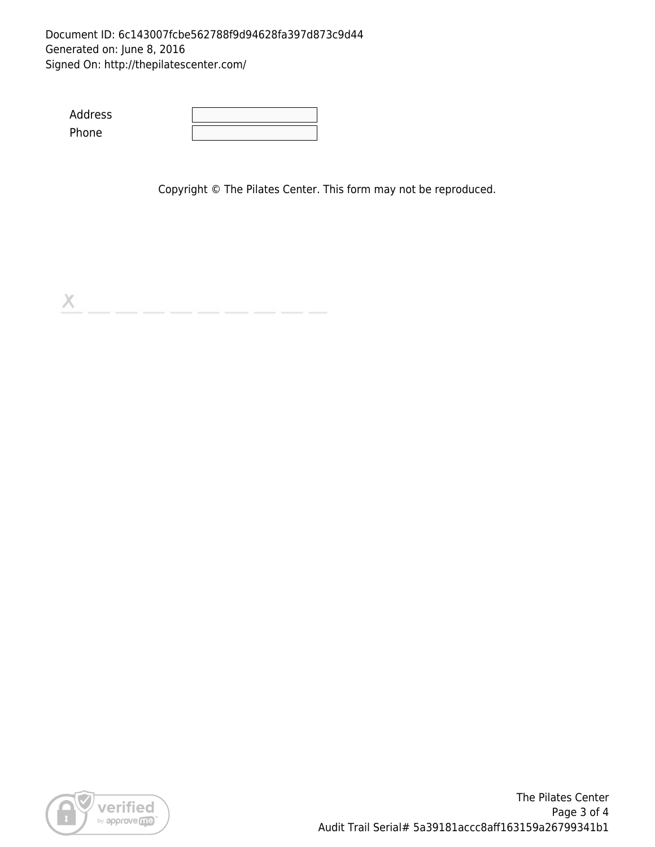### Document ID: 6c143007fcbe562788f9d94628fa397d873c9d44 Generated on: June 8, 2016 Signed On: http://thepilatescenter.com/

Address Phone

Copyright © The Pilates Center. This form may not be reproduced.

X